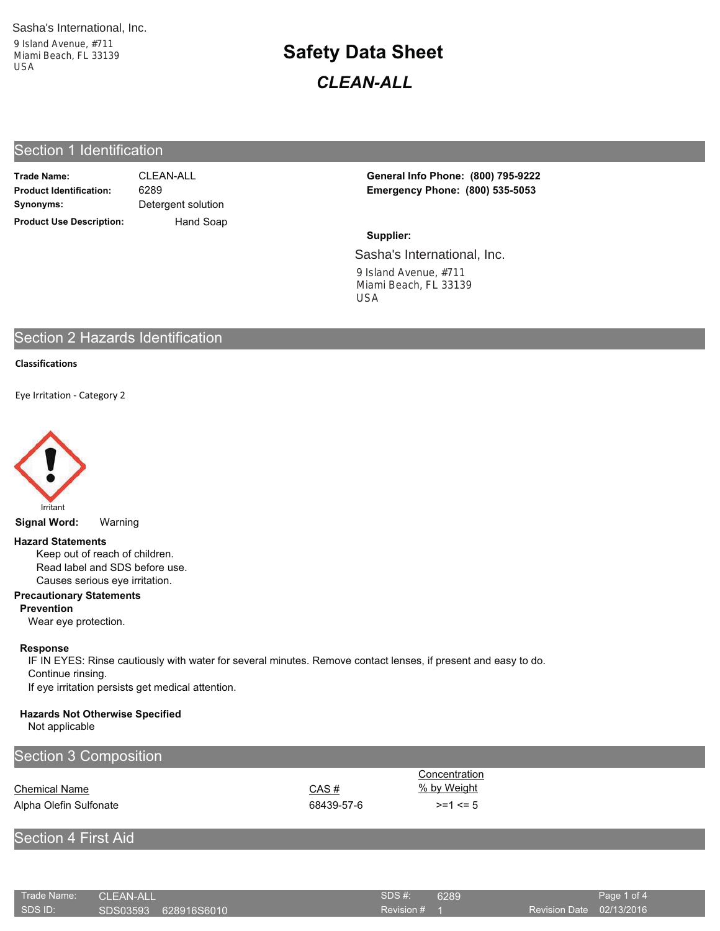9 Island Avenue, #711 Miami Beach, FL 33139  $\mathsf{U}\mathsf{S}\mathsf{A}$ USA and Contract to the USA USA

# **Safety Data Sheet CLEAN-ALL**

## Section 1 Identification

| <b>Trade Name:</b>              | CI FAN-ALL         |  |  |
|---------------------------------|--------------------|--|--|
| <b>Product Identification:</b>  | 6289               |  |  |
| Synonyms:                       | Detergent solution |  |  |
| <b>Product Use Description:</b> | Hand Soap          |  |  |

Detergent solution 6289

Product Identification: 6289 Emergency Phone: (800) 535-5053 CLEAN-ALL **CLEAN-ALL 3.1 CEAN-ALL CLEAN-ALL CLEAN-ALL** 

### Sasha's International, Inc. 9 Island Avenue, #711 9 Island Avenue, #711 Supplier: USA **Beach, FL 33140** USA **USA**

## Section 2 Hazards Identification

### **Classifications**

Eve Irritation - Category 2



**Signal Word:** Warning

#### **Hazard Statements**

Keep out of reach of children. Read label and SDS before use. Causes serious eye irritation.

#### **Precautionary Statements**

**Prevention** 

Wear eye protection.

## Response

IF IN EYES: Rinse cautiously with water for several minutes. Remove contact lenses, if present and easy to do. Continue rinsing. If eye irritation persists get medical attention.

## **Hazards Not Otherwise Specified**

Not applicable

| Section 3 Composition  |            |                  |  |
|------------------------|------------|------------------|--|
|                        |            | Concentration    |  |
| <b>Chemical Name</b>   | CAS#       | % by Weight      |  |
| Alpha Olefin Sulfonate | 68439-57-6 | $> = 1$ $\leq 5$ |  |

## **Section 4 First Aid**

| Trade Name: | CLEAN-ALL            | SDS #:       | 6289 |                          | Page 1 of 4 |
|-------------|----------------------|--------------|------|--------------------------|-------------|
| SDS ID:     | SDS03593 628916S6010 | Revision # 1 |      | Revision Date 02/13/2016 |             |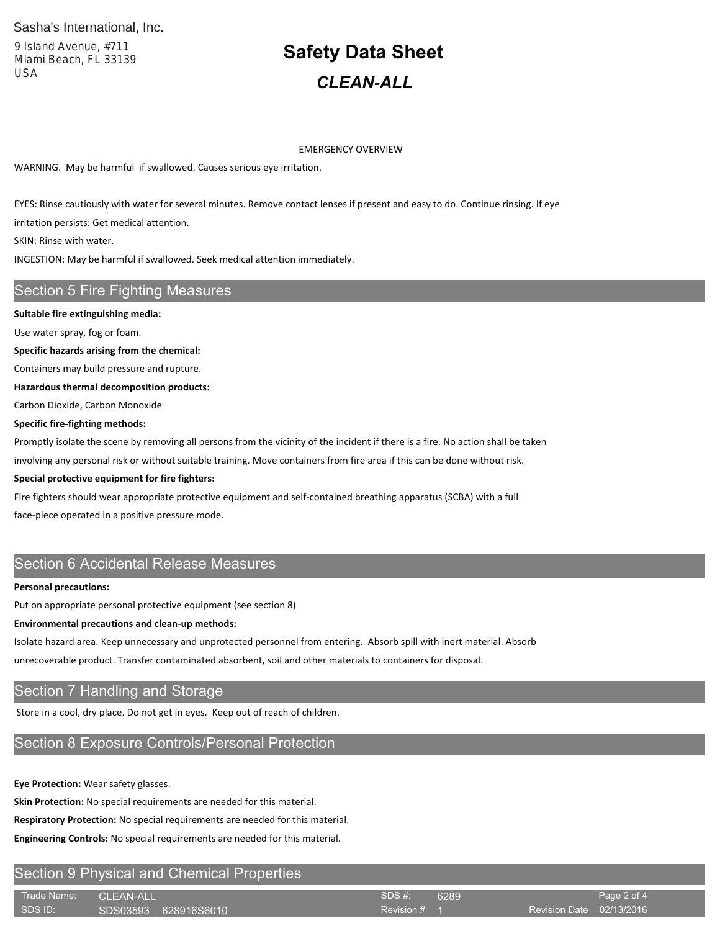## Sasha's International, Inc.

9 Island Avenue, #711 Miami Beach, FL 33139 **USA** 

# **Safety Data Sheet CLEAN-ALL**

**EMERGENCY OVERVIEW** 

WARNING. May be harmful if swallowed. Causes serious eye irritation.

EYES: Rinse cautiously with water for several minutes. Remove contact lenses if present and easy to do. Continue rinsing. If eye irritation persists: Get medical attention.

SKIN: Rinse with water.

INGESTION: May be harmful if swallowed. Seek medical attention immediately.

## **Section 5 Fire Fighting Measures**

#### Suitable fire extinguishing media:

Use water spray, fog or foam.

Specific hazards arising from the chemical:

Containers may build pressure and rupture.

Hazardous thermal decomposition products:

Carbon Dioxide, Carbon Monoxide

#### Specific fire-fighting methods:

Promptly isolate the scene by removing all persons from the vicinity of the incident if there is a fire. No action shall be taken

involving any personal risk or without suitable training. Move containers from fire area if this can be done without risk.

#### Special protective equipment for fire fighters:

Fire fighters should wear appropriate protective equipment and self-contained breathing apparatus (SCBA) with a full face-piece operated in a positive pressure mode.

## Section 6 Accidental Release Measures

#### **Personal precautions:**

Put on appropriate personal protective equipment (see section 8)

#### **Environmental precautions and clean-up methods:**

Isolate hazard area. Keep unnecessary and unprotected personnel from entering. Absorb spill with inert material. Absorb

unrecoverable product. Transfer contaminated absorbent, soil and other materials to containers for disposal.

## Section 7 Handling and Storage

Store in a cool, dry place. Do not get in eyes. Keep out of reach of children.

## Section 8 Exposure Controls/Personal Protection

Eye Protection: Wear safety glasses.

Skin Protection: No special requirements are needed for this material.

Respiratory Protection: No special requirements are needed for this material.

Engineering Controls: No special requirements are needed for this material.

## **Section 9 Physical and Chemical Properties**

| Trade Name: CLEAN-ALL |                      | SDS #:       | 6289 |                          | Page 2 of 4 |
|-----------------------|----------------------|--------------|------|--------------------------|-------------|
| SDS ID:               | SDS03593 628916S6010 | Revision # 1 |      | Revision Date 02/13/2016 |             |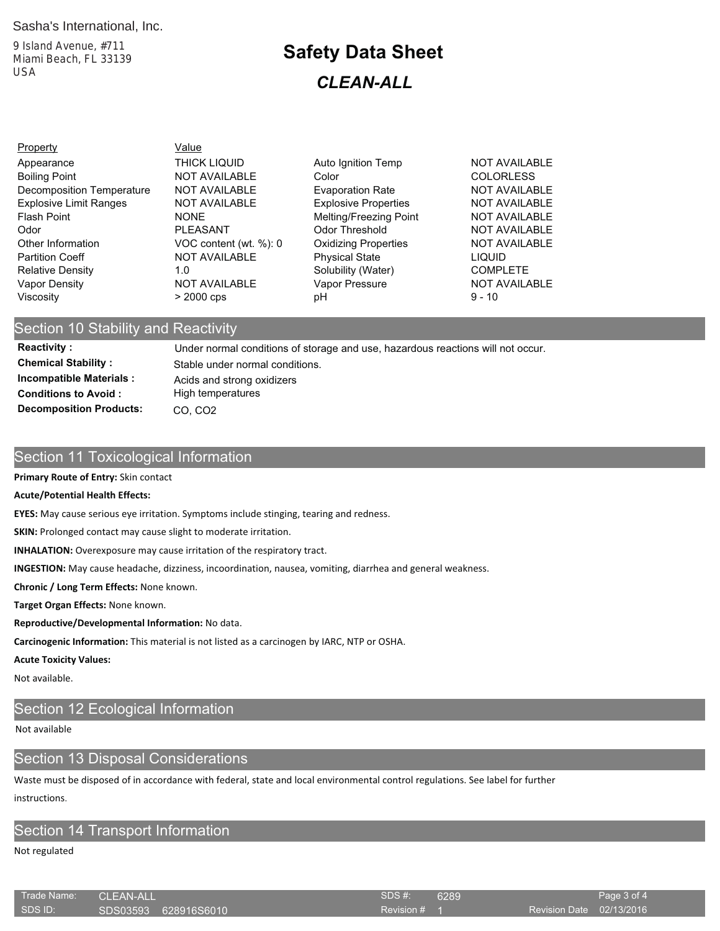## Sasha's International, Inc.

9 Island Avenue, #711 Miami Beach, FL 33139 **USA** 

## **Safety Data Sheet CLEAN-ALL**

| <b>Property</b>                  | Value                  |                             |                      |
|----------------------------------|------------------------|-----------------------------|----------------------|
| Appearance                       | <b>THICK LIQUID</b>    | Auto Ignition Temp          | <b>NOT AVAILABLE</b> |
| <b>Boiling Point</b>             | <b>NOT AVAILABLE</b>   | Color                       | <b>COLORLESS</b>     |
| <b>Decomposition Temperature</b> | <b>NOT AVAILABLE</b>   | <b>Evaporation Rate</b>     | <b>NOT AVAILABLE</b> |
| <b>Explosive Limit Ranges</b>    | <b>NOT AVAILABLE</b>   | <b>Explosive Properties</b> | <b>NOT AVAILABLE</b> |
| <b>Flash Point</b>               | <b>NONE</b>            | Melting/Freezing Point      | <b>NOT AVAILABLE</b> |
| Odor                             | <b>PLEASANT</b>        | Odor Threshold              | <b>NOT AVAILABLE</b> |
| Other Information                | VOC content (wt. %): 0 | <b>Oxidizing Properties</b> | <b>NOT AVAILABLE</b> |
| <b>Partition Coeff</b>           | <b>NOT AVAILABLE</b>   | <b>Physical State</b>       | <b>LIQUID</b>        |
| <b>Relative Density</b>          | 1.0                    | Solubility (Water)          | <b>COMPLETE</b>      |
| Vapor Density                    | <b>NOT AVAILABLE</b>   | Vapor Pressure              | <b>NOT AVAILABLE</b> |
| Viscosity                        | $>$ 2000 cps           | рH                          | $9 - 10$             |

## Section 10 Stability and Reactivity

**Reactivity: Chemical Stability: Incompatible Materials: Conditions to Avoid: Decomposition Products:** 

Under normal conditions of storage and use, hazardous reactions will not occur. Stable under normal conditions. Acids and strong oxidizers High temperatures CO, CO2

## Section 11 Toxicological Information

#### Primary Route of Entry: Skin contact

#### **Acute/Potential Health Effects:**

EYES: May cause serious eye irritation. Symptoms include stinging, tearing and redness.

SKIN: Prolonged contact may cause slight to moderate irritation.

**INHALATION:** Overexposure may cause irritation of the respiratory tract.

INGESTION: May cause headache, dizziness, incoordination, nausea, vomiting, diarrhea and general weakness.

Chronic / Long Term Effects: None known.

Target Organ Effects: None known.

Reproductive/Developmental Information: No data.

Carcinogenic Information: This material is not listed as a carcinogen by IARC, NTP or OSHA.

#### **Acute Toxicity Values:**

Not available.

## Section 12 Ecological Information

### Not available

## **Section 13 Disposal Considerations**

Waste must be disposed of in accordance with federal, state and local environmental control regulations. See label for further instructions.

## Section 14 Transport Information

Not regulated

| Trade Name: | <b>CLEAN-ALL</b>     | <b>SDS#:</b> | 6289 |                          | Page 3 of 4 |
|-------------|----------------------|--------------|------|--------------------------|-------------|
| SDS ID:     | SDS03593 628916S6010 | Revision # 1 |      | Revision Date 02/13/2016 |             |